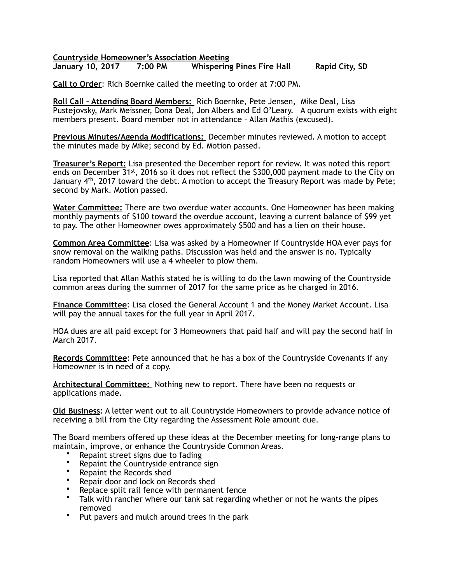**Countryside Homeowner's Association Meeting** 

**7:00 PM** Whispering Pines Fire Hall Rapid City, SD

**Call to Order**: Rich Boernke called the meeting to order at 7:00 PM.

**Roll Call – Attending Board Members:** Rich Boernke, Pete Jensen, Mike Deal, Lisa Pustejovsky, Mark Meissner, Dona Deal, Jon Albers and Ed O'Leary. A quorum exists with eight members present. Board member not in attendance – Allan Mathis (excused).

**Previous Minutes/Agenda Modifications:** December minutes reviewed. A motion to accept the minutes made by Mike; second by Ed. Motion passed.

**Treasurer's Report:** Lisa presented the December report for review. It was noted this report ends on December 31<sup>st</sup>, 2016 so it does not reflect the \$300,000 payment made to the City on January 4th, 2017 toward the debt. A motion to accept the Treasury Report was made by Pete; second by Mark. Motion passed.

**Water Committee:** There are two overdue water accounts. One Homeowner has been making monthly payments of \$100 toward the overdue account, leaving a current balance of \$99 yet to pay. The other Homeowner owes approximately \$500 and has a lien on their house.

**Common Area Committee**: Lisa was asked by a Homeowner if Countryside HOA ever pays for snow removal on the walking paths. Discussion was held and the answer is no. Typically random Homeowners will use a 4 wheeler to plow them.

Lisa reported that Allan Mathis stated he is willing to do the lawn mowing of the Countryside common areas during the summer of 2017 for the same price as he charged in 2016.

**Finance Committee**: Lisa closed the General Account 1 and the Money Market Account. Lisa will pay the annual taxes for the full year in April 2017.

HOA dues are all paid except for 3 Homeowners that paid half and will pay the second half in March 2017.

**Records Committee**: Pete announced that he has a box of the Countryside Covenants if any Homeowner is in need of a copy.

**Architectural Committee:** Nothing new to report. There have been no requests or applications made.

**Old Business**: A letter went out to all Countryside Homeowners to provide advance notice of receiving a bill from the City regarding the Assessment Role amount due.

The Board members offered up these ideas at the December meeting for long-range plans to maintain, improve, or enhance the Countryside Common Areas.

- Repaint street signs due to fading
- Repaint the Countryside entrance sign
- Repaint the Records shed
- Repair door and lock on Records shed
- Replace split rail fence with permanent fence
- Talk with rancher where our tank sat regarding whether or not he wants the pipes removed
- Put pavers and mulch around trees in the park